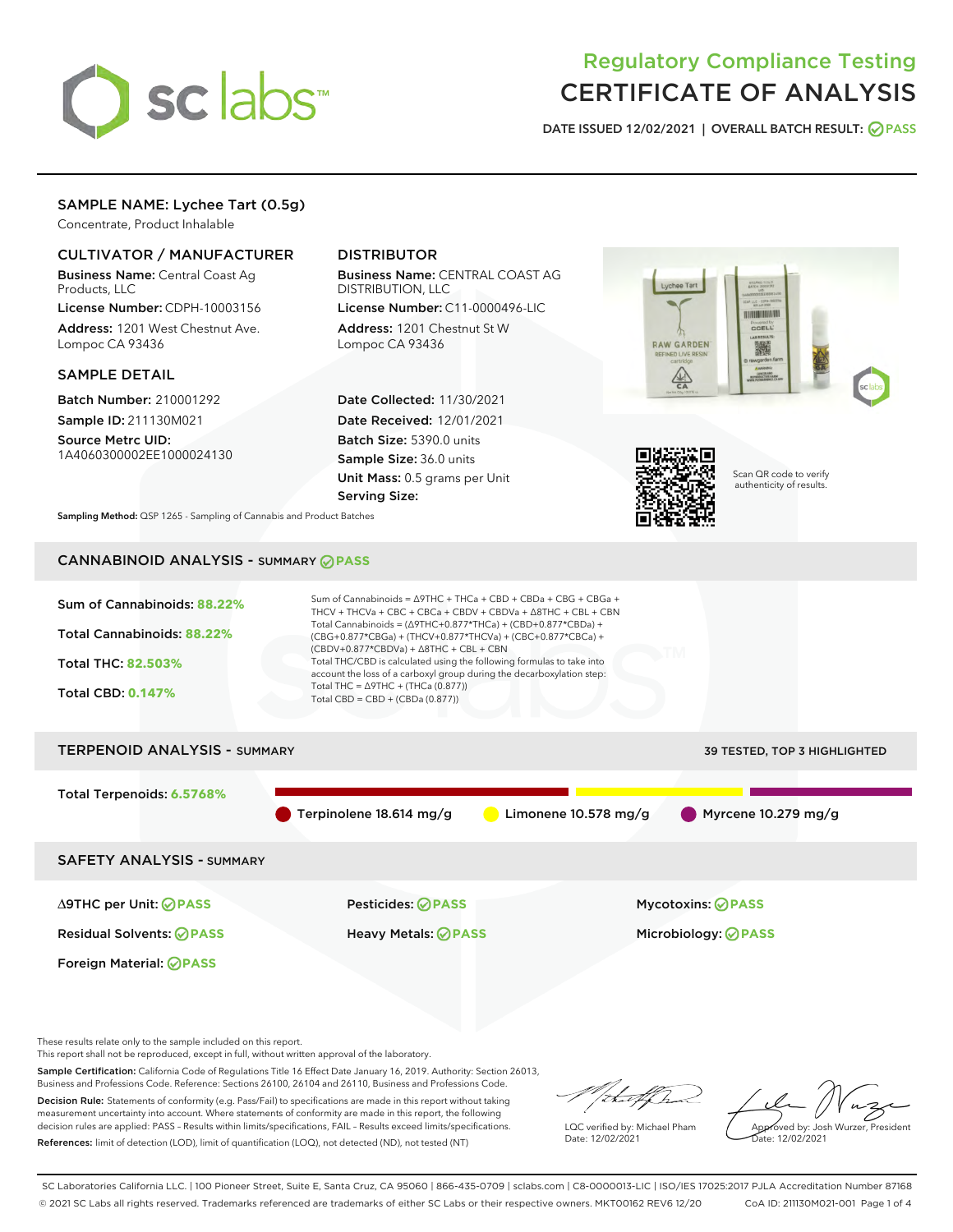

# Regulatory Compliance Testing CERTIFICATE OF ANALYSIS

DATE ISSUED 12/02/2021 | OVERALL BATCH RESULT: @ PASS

#### SAMPLE NAME: Lychee Tart (0.5g)

Concentrate, Product Inhalable

#### CULTIVATOR / MANUFACTURER

Business Name: Central Coast Ag Products, LLC

License Number: CDPH-10003156 Address: 1201 West Chestnut Ave. Lompoc CA 93436

#### SAMPLE DETAIL

Batch Number: 210001292 Sample ID: 211130M021

Source Metrc UID: 1A4060300002EE1000024130

## DISTRIBUTOR

Business Name: CENTRAL COAST AG DISTRIBUTION, LLC

License Number: C11-0000496-LIC Address: 1201 Chestnut St W Lompoc CA 93436

Date Collected: 11/30/2021 Date Received: 12/01/2021 Batch Size: 5390.0 units Sample Size: 36.0 units Unit Mass: 0.5 grams per Unit Serving Size:





Scan QR code to verify authenticity of results.

Sampling Method: QSP 1265 - Sampling of Cannabis and Product Batches

## CANNABINOID ANALYSIS - SUMMARY **PASS**



These results relate only to the sample included on this report.

This report shall not be reproduced, except in full, without written approval of the laboratory.

Sample Certification: California Code of Regulations Title 16 Effect Date January 16, 2019. Authority: Section 26013, Business and Professions Code. Reference: Sections 26100, 26104 and 26110, Business and Professions Code. Decision Rule: Statements of conformity (e.g. Pass/Fail) to specifications are made in this report without taking

measurement uncertainty into account. Where statements of conformity are made in this report, the following decision rules are applied: PASS – Results within limits/specifications, FAIL – Results exceed limits/specifications. References: limit of detection (LOD), limit of quantification (LOQ), not detected (ND), not tested (NT)

that f h

LQC verified by: Michael Pham Date: 12/02/2021

Approved by: Josh Wurzer, President ate: 12/02/2021

SC Laboratories California LLC. | 100 Pioneer Street, Suite E, Santa Cruz, CA 95060 | 866-435-0709 | sclabs.com | C8-0000013-LIC | ISO/IES 17025:2017 PJLA Accreditation Number 87168 © 2021 SC Labs all rights reserved. Trademarks referenced are trademarks of either SC Labs or their respective owners. MKT00162 REV6 12/20 CoA ID: 211130M021-001 Page 1 of 4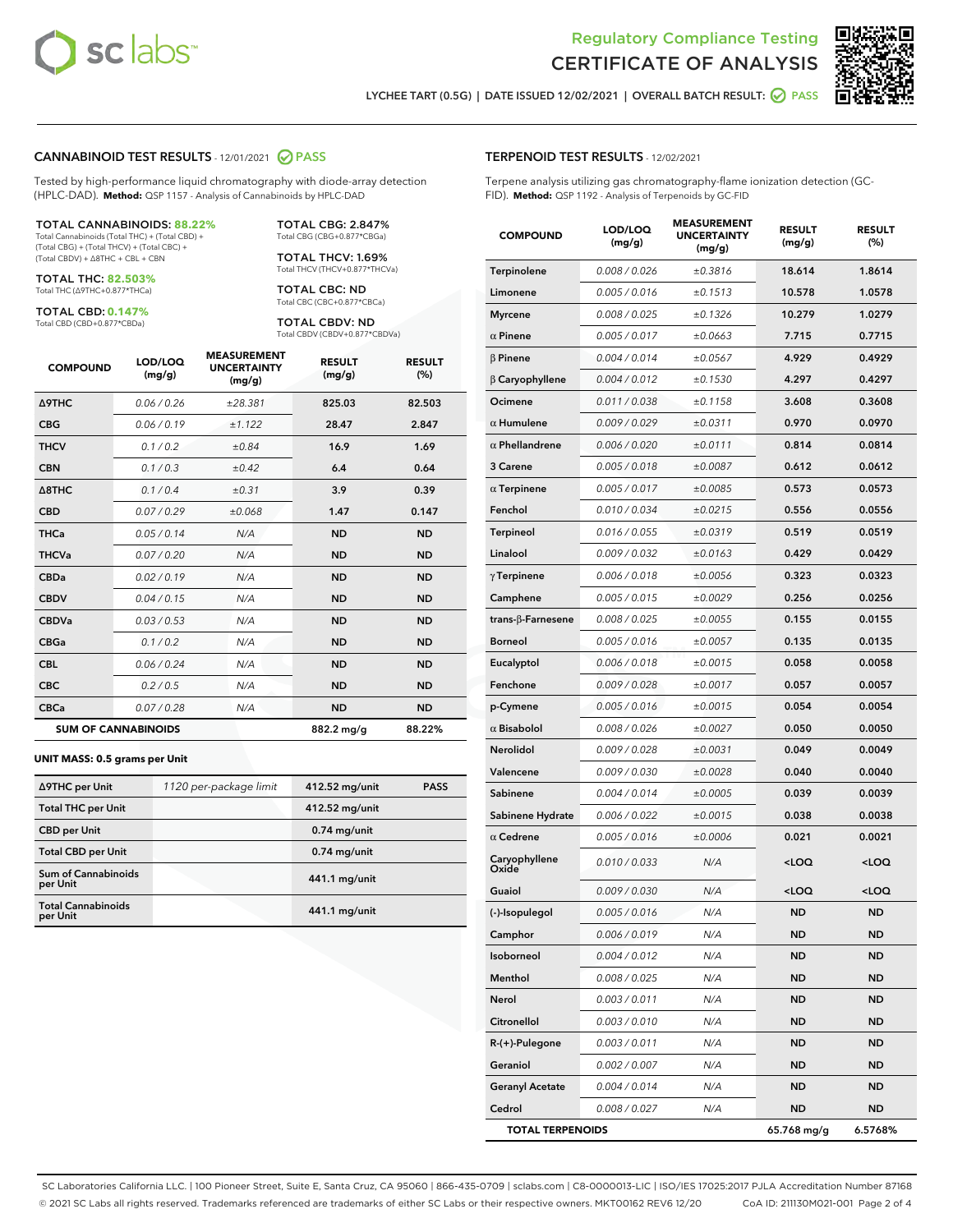



LYCHEE TART (0.5G) | DATE ISSUED 12/02/2021 | OVERALL BATCH RESULT: **○** PASS

#### CANNABINOID TEST RESULTS - 12/01/2021 2 PASS

Tested by high-performance liquid chromatography with diode-array detection (HPLC-DAD). **Method:** QSP 1157 - Analysis of Cannabinoids by HPLC-DAD

#### TOTAL CANNABINOIDS: **88.22%**

Total Cannabinoids (Total THC) + (Total CBD) + (Total CBG) + (Total THCV) + (Total CBC) + (Total CBDV) + ∆8THC + CBL + CBN

TOTAL THC: **82.503%** Total THC (∆9THC+0.877\*THCa)

TOTAL CBD: **0.147%**

Total CBD (CBD+0.877\*CBDa)

TOTAL CBG: 2.847% Total CBG (CBG+0.877\*CBGa)

TOTAL THCV: 1.69% Total THCV (THCV+0.877\*THCVa)

TOTAL CBC: ND Total CBC (CBC+0.877\*CBCa)

TOTAL CBDV: ND Total CBDV (CBDV+0.877\*CBDVa)

| <b>COMPOUND</b>            | LOD/LOQ<br>(mg/g) | <b>MEASUREMENT</b><br><b>UNCERTAINTY</b><br>(mg/g) | <b>RESULT</b><br>(mg/g) | <b>RESULT</b><br>(%) |
|----------------------------|-------------------|----------------------------------------------------|-------------------------|----------------------|
| Δ9THC                      | 0.06 / 0.26       | ±28.381                                            | 825.03                  | 82.503               |
| <b>CBG</b>                 | 0.06 / 0.19       | ±1.122                                             | 28.47                   | 2.847                |
| <b>THCV</b>                | 0.1 / 0.2         | ±0.84                                              | 16.9                    | 1.69                 |
| <b>CBN</b>                 | 0.1/0.3           | $\pm 0.42$                                         | 6.4                     | 0.64                 |
| $\triangle$ 8THC           | 0.1/0.4           | ±0.31                                              | 3.9                     | 0.39                 |
| <b>CBD</b>                 | 0.07/0.29         | ±0.068                                             | 1.47                    | 0.147                |
| <b>THCa</b>                | 0.05/0.14         | N/A                                                | <b>ND</b>               | <b>ND</b>            |
| <b>THCVa</b>               | 0.07/0.20         | N/A                                                | <b>ND</b>               | <b>ND</b>            |
| <b>CBDa</b>                | 0.02/0.19         | N/A                                                | <b>ND</b>               | <b>ND</b>            |
| <b>CBDV</b>                | 0.04 / 0.15       | N/A                                                | <b>ND</b>               | <b>ND</b>            |
| <b>CBDVa</b>               | 0.03/0.53         | N/A                                                | <b>ND</b>               | <b>ND</b>            |
| <b>CBGa</b>                | 0.1/0.2           | N/A                                                | <b>ND</b>               | <b>ND</b>            |
| <b>CBL</b>                 | 0.06 / 0.24       | N/A                                                | <b>ND</b>               | <b>ND</b>            |
| <b>CBC</b>                 | 0.2 / 0.5         | N/A                                                | <b>ND</b>               | <b>ND</b>            |
| <b>CBCa</b>                | 0.07/0.28         | N/A                                                | <b>ND</b>               | <b>ND</b>            |
| <b>SUM OF CANNABINOIDS</b> |                   |                                                    | 882.2 mg/g              | 88.22%               |

#### **UNIT MASS: 0.5 grams per Unit**

| ∆9THC per Unit                         | 1120 per-package limit | 412.52 mg/unit | <b>PASS</b> |
|----------------------------------------|------------------------|----------------|-------------|
| <b>Total THC per Unit</b>              |                        | 412.52 mg/unit |             |
| <b>CBD per Unit</b>                    |                        | $0.74$ mg/unit |             |
| <b>Total CBD per Unit</b>              |                        | $0.74$ mg/unit |             |
| <b>Sum of Cannabinoids</b><br>per Unit |                        | 441.1 mg/unit  |             |
| <b>Total Cannabinoids</b><br>per Unit  |                        | 441.1 mg/unit  |             |

| <b>COMPOUND</b>           | LOD/LOQ<br>(mg/g) | <b>MEASUREMENT</b><br><b>UNCERTAINTY</b><br>(mg/g) | <b>RESULT</b><br>(mg/g)                          | <b>RESULT</b><br>(%) |
|---------------------------|-------------------|----------------------------------------------------|--------------------------------------------------|----------------------|
| Terpinolene               | 0.008 / 0.026     | ±0.3816                                            | 18.614                                           | 1.8614               |
| Limonene                  | 0.005 / 0.016     | ±0.1513                                            | 10.578                                           | 1.0578               |
| <b>Myrcene</b>            | 0.008 / 0.025     | ±0.1326                                            | 10.279                                           | 1.0279               |
| $\alpha$ Pinene           | 0.005 / 0.017     | ±0.0663                                            | 7.715                                            | 0.7715               |
| $\beta$ Pinene            | 0.004 / 0.014     | ±0.0567                                            | 4.929                                            | 0.4929               |
| $\beta$ Caryophyllene     | 0.004 / 0.012     | ±0.1530                                            | 4.297                                            | 0.4297               |
| Ocimene                   | 0.011 / 0.038     | ±0.1158                                            | 3.608                                            | 0.3608               |
| $\alpha$ Humulene         | 0.009 / 0.029     | ±0.0311                                            | 0.970                                            | 0.0970               |
| $\alpha$ Phellandrene     | 0.006 / 0.020     | ±0.0111                                            | 0.814                                            | 0.0814               |
| 3 Carene                  | 0.005 / 0.018     | ±0.0087                                            | 0.612                                            | 0.0612               |
| $\alpha$ Terpinene        | 0.005 / 0.017     | ±0.0085                                            | 0.573                                            | 0.0573               |
| Fenchol                   | 0.010/0.034       | ±0.0215                                            | 0.556                                            | 0.0556               |
| <b>Terpineol</b>          | 0.016 / 0.055     | ±0.0319                                            | 0.519                                            | 0.0519               |
| Linalool                  | 0.009 / 0.032     | ±0.0163                                            | 0.429                                            | 0.0429               |
| $\gamma$ Terpinene        | 0.006 / 0.018     | ±0.0056                                            | 0.323                                            | 0.0323               |
| Camphene                  | 0.005 / 0.015     | ±0.0029                                            | 0.256                                            | 0.0256               |
| trans- $\beta$ -Farnesene | 0.008 / 0.025     | ±0.0055                                            | 0.155                                            | 0.0155               |
| <b>Borneol</b>            | 0.005 / 0.016     | ±0.0057                                            | 0.135                                            | 0.0135               |
| Eucalyptol                | 0.006 / 0.018     | ±0.0015                                            | 0.058                                            | 0.0058               |
| Fenchone                  | 0.009 / 0.028     | ±0.0017                                            | 0.057                                            | 0.0057               |
| p-Cymene                  | 0.005 / 0.016     | ±0.0015                                            | 0.054                                            | 0.0054               |
| $\alpha$ Bisabolol        | 0.008 / 0.026     | ±0.0027                                            | 0.050                                            | 0.0050               |
| Nerolidol                 | 0.009 / 0.028     | ±0.0031                                            | 0.049                                            | 0.0049               |
| Valencene                 | 0.009 / 0.030     | ±0.0028                                            | 0.040                                            | 0.0040               |
| Sabinene                  | 0.004 / 0.014     | ±0.0005                                            | 0.039                                            | 0.0039               |
| Sabinene Hydrate          | 0.006 / 0.022     | ±0.0015                                            | 0.038                                            | 0.0038               |
| $\alpha$ Cedrene          | 0.005 / 0.016     | ±0.0006                                            | 0.021                                            | 0.0021               |
| Caryophyllene<br>Oxide    | 0.010 / 0.033     | N/A                                                | <loq< th=""><th><math>&lt;</math>LOQ</th></loq<> | $<$ LOQ              |
| Guaiol                    | 0.009 / 0.030     | N/A                                                | <loq< th=""><th><loq< th=""></loq<></th></loq<>  | <loq< th=""></loq<>  |
| (-)-Isopulegol            | 0.005 / 0.016     | N/A                                                | <b>ND</b>                                        | <b>ND</b>            |
| Camphor                   | 0.006 / 0.019     | N/A                                                | ND                                               | ND                   |
| Isoborneol                | 0.004 / 0.012     | N/A                                                | <b>ND</b>                                        | ND                   |
| Menthol                   | 0.008 / 0.025     | N/A                                                | ND                                               | ND                   |
| Nerol                     | 0.003 / 0.011     | N/A                                                | ND                                               | ND                   |
| Citronellol               | 0.003 / 0.010     | N/A                                                | ND                                               | ND                   |
| $R-(+)$ -Pulegone         | 0.003 / 0.011     | N/A                                                | ND                                               | ND                   |
| Geraniol                  | 0.002 / 0.007     | N/A                                                | ND                                               | ND                   |
| <b>Geranyl Acetate</b>    | 0.004 / 0.014     | N/A                                                | ND                                               | ND                   |
| Cedrol                    | 0.008 / 0.027     | N/A                                                | ND                                               | ND                   |
| <b>TOTAL TERPENOIDS</b>   |                   |                                                    | 65.768 mg/g                                      | 6.5768%              |

SC Laboratories California LLC. | 100 Pioneer Street, Suite E, Santa Cruz, CA 95060 | 866-435-0709 | sclabs.com | C8-0000013-LIC | ISO/IES 17025:2017 PJLA Accreditation Number 87168 © 2021 SC Labs all rights reserved. Trademarks referenced are trademarks of either SC Labs or their respective owners. MKT00162 REV6 12/20 CoA ID: 211130M021-001 Page 2 of 4

#### TERPENOID TEST RESULTS - 12/02/2021

Terpene analysis utilizing gas chromatography-flame ionization detection (GC-FID). **Method:** QSP 1192 - Analysis of Terpenoids by GC-FID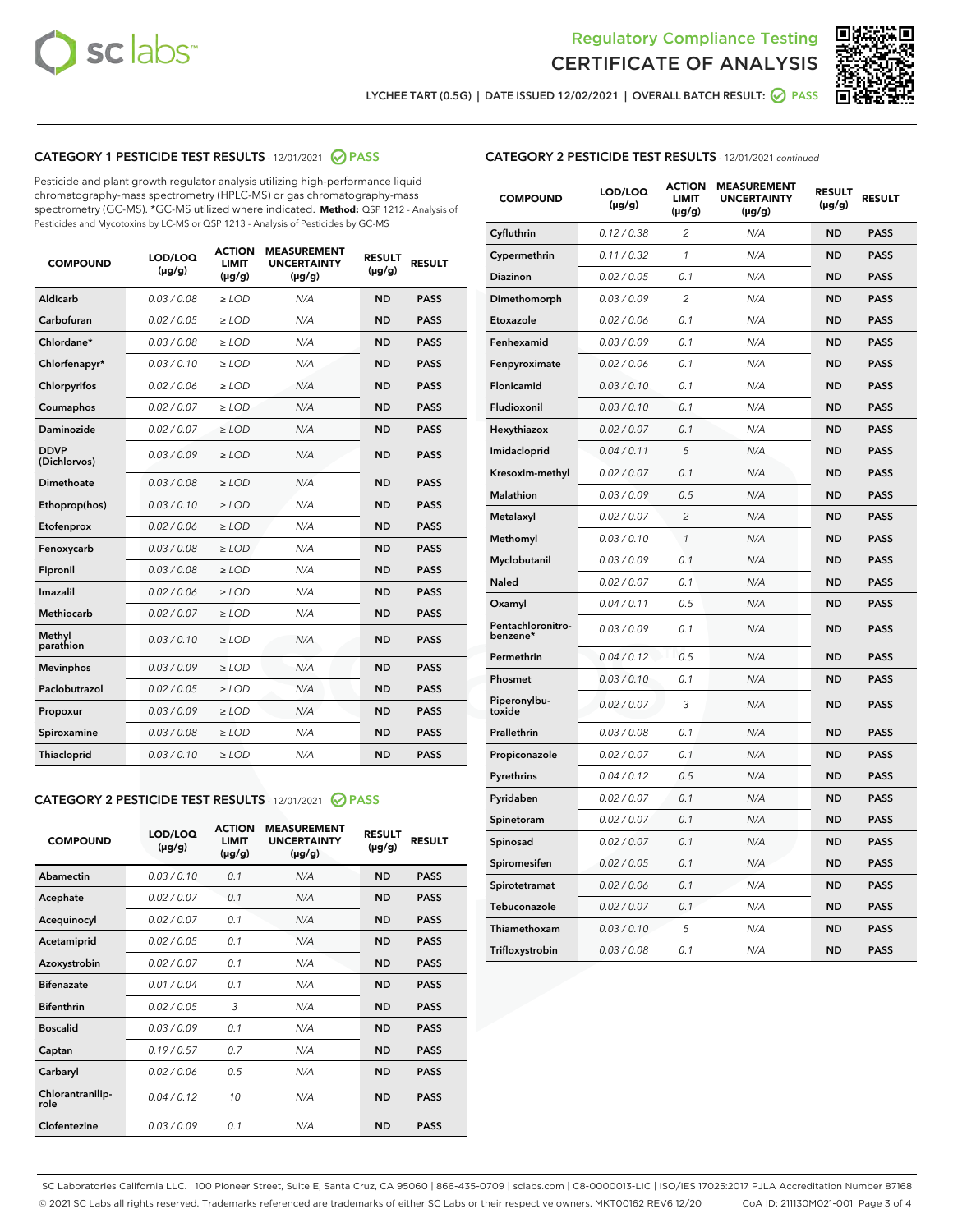



LYCHEE TART (0.5G) | DATE ISSUED 12/02/2021 | OVERALL BATCH RESULT:  $\bigcirc$  PASS

## CATEGORY 1 PESTICIDE TEST RESULTS - 12/01/2021 2 PASS

Pesticide and plant growth regulator analysis utilizing high-performance liquid chromatography-mass spectrometry (HPLC-MS) or gas chromatography-mass spectrometry (GC-MS). \*GC-MS utilized where indicated. **Method:** QSP 1212 - Analysis of Pesticides and Mycotoxins by LC-MS or QSP 1213 - Analysis of Pesticides by GC-MS

| <b>COMPOUND</b>             | LOD/LOQ<br>$(\mu g/g)$ | <b>ACTION</b><br><b>LIMIT</b><br>$(\mu g/g)$ | <b>MEASUREMENT</b><br><b>UNCERTAINTY</b><br>$(\mu g/g)$ | <b>RESULT</b><br>$(\mu g/g)$ | <b>RESULT</b> |
|-----------------------------|------------------------|----------------------------------------------|---------------------------------------------------------|------------------------------|---------------|
| Aldicarb                    | 0.03 / 0.08            | $\geq$ LOD                                   | N/A                                                     | <b>ND</b>                    | <b>PASS</b>   |
| Carbofuran                  | 0.02/0.05              | $\geq$ LOD                                   | N/A                                                     | <b>ND</b>                    | <b>PASS</b>   |
| Chlordane*                  | 0.03 / 0.08            | $\ge$ LOD                                    | N/A                                                     | <b>ND</b>                    | <b>PASS</b>   |
| Chlorfenapyr*               | 0.03/0.10              | $\ge$ LOD                                    | N/A                                                     | <b>ND</b>                    | <b>PASS</b>   |
| Chlorpyrifos                | 0.02 / 0.06            | $\ge$ LOD                                    | N/A                                                     | <b>ND</b>                    | <b>PASS</b>   |
| Coumaphos                   | 0.02 / 0.07            | $\ge$ LOD                                    | N/A                                                     | <b>ND</b>                    | <b>PASS</b>   |
| Daminozide                  | 0.02 / 0.07            | $\ge$ LOD                                    | N/A                                                     | <b>ND</b>                    | <b>PASS</b>   |
| <b>DDVP</b><br>(Dichlorvos) | 0.03/0.09              | $\ge$ LOD                                    | N/A                                                     | <b>ND</b>                    | <b>PASS</b>   |
| Dimethoate                  | 0.03/0.08              | $\ge$ LOD                                    | N/A                                                     | <b>ND</b>                    | <b>PASS</b>   |
| Ethoprop(hos)               | 0.03/0.10              | $\ge$ LOD                                    | N/A                                                     | <b>ND</b>                    | <b>PASS</b>   |
| Etofenprox                  | 0.02/0.06              | $\ge$ LOD                                    | N/A                                                     | <b>ND</b>                    | <b>PASS</b>   |
| Fenoxycarb                  | 0.03/0.08              | $\ge$ LOD                                    | N/A                                                     | <b>ND</b>                    | <b>PASS</b>   |
| Fipronil                    | 0.03/0.08              | $\ge$ LOD                                    | N/A                                                     | <b>ND</b>                    | <b>PASS</b>   |
| Imazalil                    | 0.02 / 0.06            | $\ge$ LOD                                    | N/A                                                     | <b>ND</b>                    | <b>PASS</b>   |
| <b>Methiocarb</b>           | 0.02 / 0.07            | $\ge$ LOD                                    | N/A                                                     | <b>ND</b>                    | <b>PASS</b>   |
| Methyl<br>parathion         | 0.03/0.10              | $\ge$ LOD                                    | N/A                                                     | <b>ND</b>                    | <b>PASS</b>   |
| <b>Mevinphos</b>            | 0.03/0.09              | $\ge$ LOD                                    | N/A                                                     | <b>ND</b>                    | <b>PASS</b>   |
| Paclobutrazol               | 0.02 / 0.05            | $\ge$ LOD                                    | N/A                                                     | <b>ND</b>                    | <b>PASS</b>   |
| Propoxur                    | 0.03/0.09              | $\ge$ LOD                                    | N/A                                                     | <b>ND</b>                    | <b>PASS</b>   |
| Spiroxamine                 | 0.03 / 0.08            | $\ge$ LOD                                    | N/A                                                     | <b>ND</b>                    | <b>PASS</b>   |
| <b>Thiacloprid</b>          | 0.03/0.10              | $\ge$ LOD                                    | N/A                                                     | <b>ND</b>                    | <b>PASS</b>   |
|                             |                        |                                              |                                                         |                              |               |

## CATEGORY 2 PESTICIDE TEST RESULTS - 12/01/2021 @ PASS

| <b>COMPOUND</b>          | LOD/LOO<br>$(\mu g/g)$ | <b>ACTION</b><br>LIMIT<br>$(\mu g/g)$ | <b>MEASUREMENT</b><br><b>UNCERTAINTY</b><br>$(\mu g/g)$ | <b>RESULT</b><br>$(\mu g/g)$ | <b>RESULT</b> |  |
|--------------------------|------------------------|---------------------------------------|---------------------------------------------------------|------------------------------|---------------|--|
| Abamectin                | 0.03/0.10              | 0.1                                   | N/A                                                     | <b>ND</b>                    | <b>PASS</b>   |  |
| Acephate                 | 0.02/0.07              | 0.1                                   | N/A                                                     | <b>ND</b>                    | <b>PASS</b>   |  |
| Acequinocyl              | 0.02/0.07              | 0.1                                   | N/A                                                     | <b>ND</b>                    | <b>PASS</b>   |  |
| Acetamiprid              | 0.02/0.05              | 0.1                                   | N/A                                                     | <b>ND</b>                    | <b>PASS</b>   |  |
| Azoxystrobin             | 0.02/0.07              | 0.1                                   | N/A                                                     | <b>ND</b>                    | <b>PASS</b>   |  |
| <b>Bifenazate</b>        | 0.01/0.04              | 0.1                                   | N/A                                                     | <b>ND</b>                    | <b>PASS</b>   |  |
| <b>Bifenthrin</b>        | 0.02/0.05              | 3                                     | N/A                                                     | <b>ND</b>                    | <b>PASS</b>   |  |
| <b>Boscalid</b>          | 0.03/0.09              | 0.1                                   | N/A                                                     | <b>ND</b>                    | <b>PASS</b>   |  |
| Captan                   | 0.19/0.57              | 0.7                                   | N/A                                                     | <b>ND</b>                    | <b>PASS</b>   |  |
| Carbaryl                 | 0.02/0.06              | 0.5                                   | N/A                                                     | <b>ND</b>                    | <b>PASS</b>   |  |
| Chlorantranilip-<br>role | 0.04/0.12              | 10                                    | N/A                                                     | <b>ND</b>                    | <b>PASS</b>   |  |
| Clofentezine             | 0.03/0.09              | 0.1                                   | N/A                                                     | <b>ND</b>                    | <b>PASS</b>   |  |

| <b>CATEGORY 2 PESTICIDE TEST RESULTS</b> - 12/01/2021 continued |
|-----------------------------------------------------------------|
|-----------------------------------------------------------------|

| <b>COMPOUND</b>               | LOD/LOQ<br>(µg/g) | <b>ACTION</b><br>LIMIT<br>$(\mu g/g)$ | <b>MEASUREMENT</b><br><b>UNCERTAINTY</b><br>$(\mu g/g)$ | <b>RESULT</b><br>(µg/g) | <b>RESULT</b> |
|-------------------------------|-------------------|---------------------------------------|---------------------------------------------------------|-------------------------|---------------|
| Cyfluthrin                    | 0.12 / 0.38       | $\overline{2}$                        | N/A                                                     | <b>ND</b>               | <b>PASS</b>   |
| Cypermethrin                  | 0.11 / 0.32       | $\mathcal{I}$                         | N/A                                                     | <b>ND</b>               | <b>PASS</b>   |
| Diazinon                      | 0.02 / 0.05       | 0.1                                   | N/A                                                     | <b>ND</b>               | <b>PASS</b>   |
| Dimethomorph                  | 0.03 / 0.09       | $\overline{2}$                        | N/A                                                     | <b>ND</b>               | <b>PASS</b>   |
| Etoxazole                     | 0.02 / 0.06       | 0.1                                   | N/A                                                     | <b>ND</b>               | <b>PASS</b>   |
| Fenhexamid                    | 0.03 / 0.09       | 0.1                                   | N/A                                                     | <b>ND</b>               | <b>PASS</b>   |
| Fenpyroximate                 | 0.02 / 0.06       | 0.1                                   | N/A                                                     | <b>ND</b>               | <b>PASS</b>   |
| Flonicamid                    | 0.03 / 0.10       | 0.1                                   | N/A                                                     | <b>ND</b>               | <b>PASS</b>   |
| Fludioxonil                   | 0.03/0.10         | 0.1                                   | N/A                                                     | <b>ND</b>               | <b>PASS</b>   |
| Hexythiazox                   | 0.02 / 0.07       | 0.1                                   | N/A                                                     | <b>ND</b>               | <b>PASS</b>   |
| Imidacloprid                  | 0.04 / 0.11       | 5                                     | N/A                                                     | <b>ND</b>               | <b>PASS</b>   |
| Kresoxim-methyl               | 0.02 / 0.07       | 0.1                                   | N/A                                                     | <b>ND</b>               | <b>PASS</b>   |
| Malathion                     | 0.03 / 0.09       | 0.5                                   | N/A                                                     | <b>ND</b>               | <b>PASS</b>   |
| Metalaxyl                     | 0.02 / 0.07       | $\overline{2}$                        | N/A                                                     | <b>ND</b>               | <b>PASS</b>   |
| Methomyl                      | 0.03 / 0.10       | 1                                     | N/A                                                     | <b>ND</b>               | <b>PASS</b>   |
| Myclobutanil                  | 0.03 / 0.09       | 0.1                                   | N/A                                                     | <b>ND</b>               | <b>PASS</b>   |
| Naled                         | 0.02 / 0.07       | 0.1                                   | N/A                                                     | <b>ND</b>               | <b>PASS</b>   |
| Oxamyl                        | 0.04 / 0.11       | 0.5                                   | N/A                                                     | <b>ND</b>               | <b>PASS</b>   |
| Pentachloronitro-<br>benzene* | 0.03 / 0.09       | 0.1                                   | N/A                                                     | <b>ND</b>               | <b>PASS</b>   |
| Permethrin                    | 0.04 / 0.12       | 0.5                                   | N/A                                                     | <b>ND</b>               | <b>PASS</b>   |
| Phosmet                       | 0.03 / 0.10       | 0.1                                   | N/A                                                     | <b>ND</b>               | <b>PASS</b>   |
| Piperonylbu-<br>toxide        | 0.02 / 0.07       | 3                                     | N/A                                                     | <b>ND</b>               | <b>PASS</b>   |
| Prallethrin                   | 0.03 / 0.08       | 0.1                                   | N/A                                                     | <b>ND</b>               | <b>PASS</b>   |
| Propiconazole                 | 0.02 / 0.07       | 0.1                                   | N/A                                                     | <b>ND</b>               | <b>PASS</b>   |
| Pyrethrins                    | 0.04 / 0.12       | 0.5                                   | N/A                                                     | <b>ND</b>               | <b>PASS</b>   |
| Pyridaben                     | 0.02 / 0.07       | 0.1                                   | N/A                                                     | <b>ND</b>               | <b>PASS</b>   |
| Spinetoram                    | 0.02 / 0.07       | 0.1                                   | N/A                                                     | <b>ND</b>               | <b>PASS</b>   |
| Spinosad                      | 0.02 / 0.07       | 0.1                                   | N/A                                                     | <b>ND</b>               | <b>PASS</b>   |
| Spiromesifen                  | 0.02 / 0.05       | 0.1                                   | N/A                                                     | <b>ND</b>               | <b>PASS</b>   |
| Spirotetramat                 | 0.02 / 0.06       | 0.1                                   | N/A                                                     | <b>ND</b>               | <b>PASS</b>   |
| Tebuconazole                  | 0.02 / 0.07       | 0.1                                   | N/A                                                     | <b>ND</b>               | <b>PASS</b>   |
| Thiamethoxam                  | 0.03 / 0.10       | 5                                     | N/A                                                     | <b>ND</b>               | <b>PASS</b>   |
| Trifloxystrobin               | 0.03 / 0.08       | 0.1                                   | N/A                                                     | <b>ND</b>               | <b>PASS</b>   |

SC Laboratories California LLC. | 100 Pioneer Street, Suite E, Santa Cruz, CA 95060 | 866-435-0709 | sclabs.com | C8-0000013-LIC | ISO/IES 17025:2017 PJLA Accreditation Number 87168 © 2021 SC Labs all rights reserved. Trademarks referenced are trademarks of either SC Labs or their respective owners. MKT00162 REV6 12/20 CoA ID: 211130M021-001 Page 3 of 4